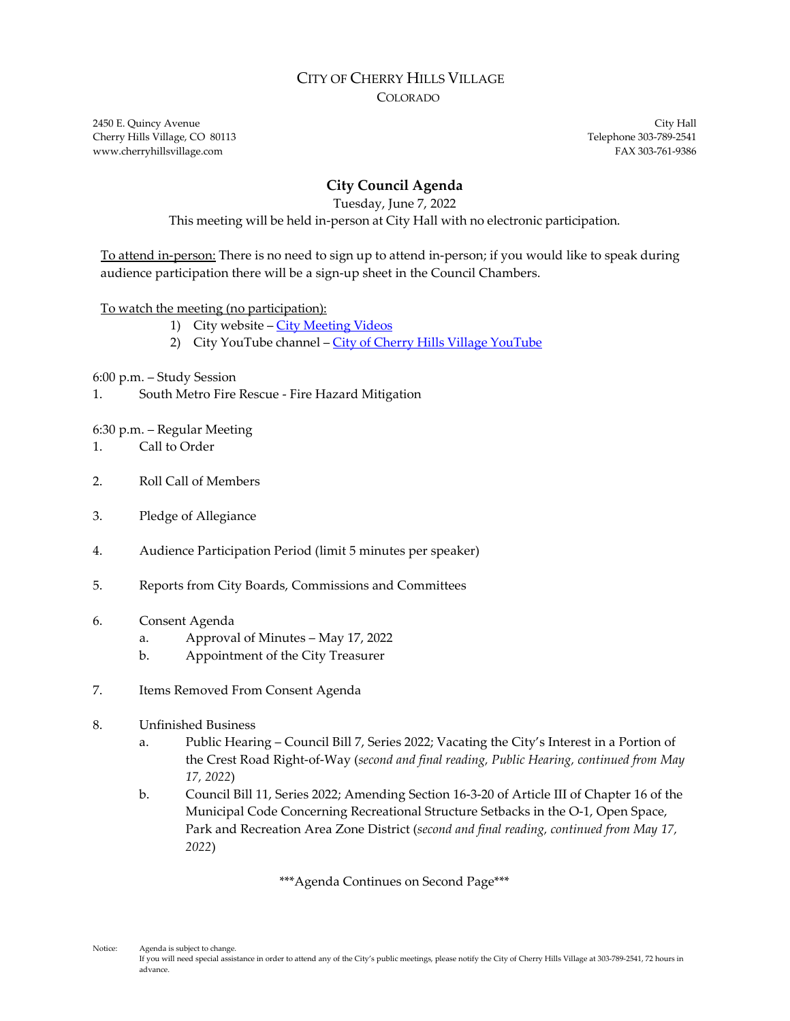### CITY OF CHERRY HILLS VILLAGE COLORADO

2450 E. Quincy Avenue City Hall Cherry Hills Village, CO 80113 Telephone 303-789-2541 www.cherryhillsvillage.com **FAX 303-761-9386** 

# **City Council Agenda**

Tuesday, June 7, 2022

This meeting will be held in-person at City Hall with no electronic participation.

To attend in-person: There is no need to sign up to attend in-person; if you would like to speak during audience participation there will be a sign-up sheet in the Council Chambers.

### To watch the meeting (no participation):

- 1) City website City [Meeting](http://www.cherryhillsvillage.com/501/Council-Videos-Agendas-Packets-Minutes) Videos
- 2) City [YouTube](https://www.youtube.com/channel/UCHY4MgJ1gekrqDW949gW7Gw) channel City of Cherry Hills Village YouTube

6:00 p.m. – Study Session

1. South Metro Fire Rescue - Fire Hazard Mitigation

#### 6:30 p.m. – Regular Meeting

- 1. Call to Order
- 2. Roll Call of Members
- 3. Pledge of Allegiance
- 4. Audience Participation Period (limit 5 minutes per speaker)
- 5. Reports from City Boards, Commissions and Committees
- 6. Consent Agenda
	- a. Approval of Minutes May 17, 2022
	- b. Appointment of the City Treasurer
- 7. Items Removed From Consent Agenda
- 8. Unfinished Business
	- a. Public Hearing Council Bill 7, Series 2022; Vacating the City's Interest in a Portion of the Crest Road Right-of-Way (*second and final reading, Public Hearing, continued from May 17, 2022*)
	- b. Council Bill 11, Series 2022; Amending Section 16-3-20 of Article III of Chapter 16 of the Municipal Code Concerning Recreational Structure Setbacks in the O-1, Open Space, Park and Recreation Area Zone District (*second and final reading, continued from May 17, 2022*)

\*\*\*Agenda Continues on Second Page\*\*\*

Notice: Agenda is subject to change.

If you will need special assistance in order to attend any of the City's public meetings, please notify the City of Cherry Hills Village at 303-789-2541, 72 hours in advance.